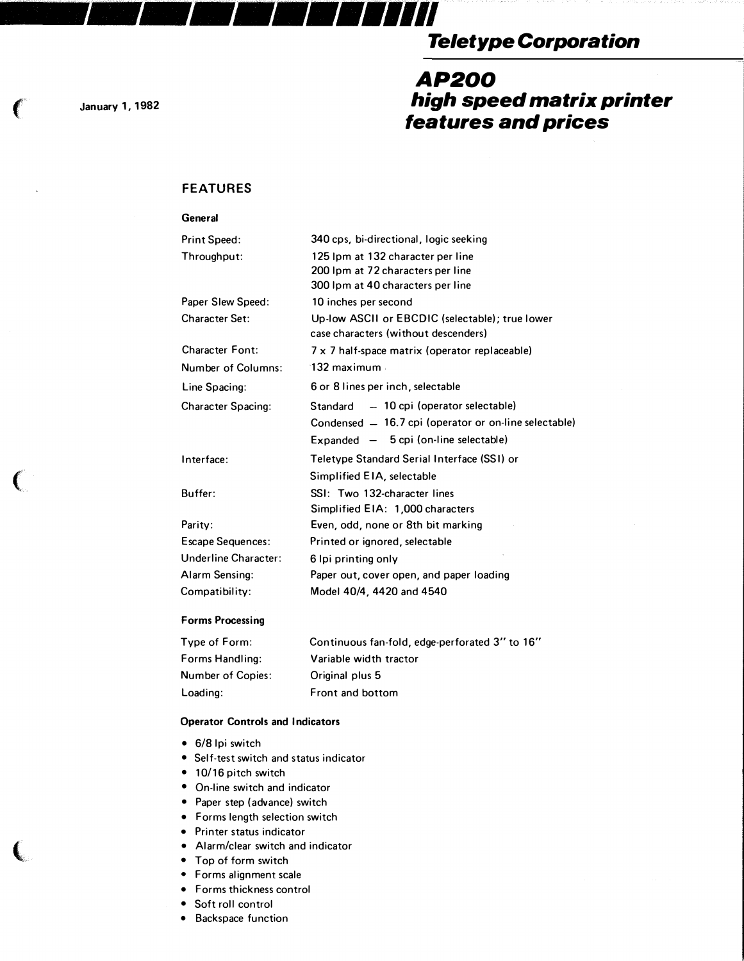# Teletype Corporation

## AP200 high speed matrix printer features and prices

January 1, 1982

 $\big($ 

 $\big($ 

 $\left($ 

### FEATURES

| General                   |                                                                                         |
|---------------------------|-----------------------------------------------------------------------------------------|
| <b>Print Speed:</b>       | 340 cps, bi-directional, logic seeking                                                  |
| Throughput:               | 125 Ipm at 132 character per line                                                       |
|                           | 200 Ipm at 72 characters per line                                                       |
|                           | 300 Ipm at 40 characters per line                                                       |
| Paper Slew Speed:         | 10 inches per second                                                                    |
| <b>Character Set:</b>     | Up-low ASCII or EBCDIC (selectable); true lower<br>case characters (without descenders) |
| <b>Character Font:</b>    | 7 x 7 half-space matrix (operator replaceable)                                          |
| <b>Number of Columns:</b> | $132$ maximum                                                                           |
| Line Spacing:             | 6 or 8 lines per inch, selectable                                                       |
| <b>Character Spacing:</b> | Standard - 10 cpi (operator selectable)                                                 |
|                           | Condensed - 16.7 cpi (operator or on-line selectable)                                   |
|                           | $Expanded - 5$ cpi (on-line selectable)                                                 |
| Interface:                | Teletype Standard Serial Interface (SSI) or                                             |
|                           | Simplified EIA, selectable                                                              |
| Buffer:                   | SSI: Two 132-character lines                                                            |
|                           | Simplified EIA: 1,000 characters                                                        |
| Parity:                   | Even, odd, none or 8th bit marking                                                      |
| <b>Escape Sequences:</b>  | Printed or ignored, selectable                                                          |
| Underline Character:      | 6 lpi printing only                                                                     |
| Alarm Sensing:            | Paper out, cover open, and paper loading                                                |
| Compatibility:            | Model 40/4, 4420 and 4540                                                               |
|                           |                                                                                         |

#### Forms Processing

| Continuous fan-fold, edge-perforated 3" to 16" |
|------------------------------------------------|
| Variable width tractor                         |
| Original plus 5                                |
| Front and bottom                               |
|                                                |

#### Operator Controls and Indicators

- 6/8 lpi switch
- Self-test switch and status indicator
- 10/16 pitch switch
- On-line switch and indicator
- Paper step (advance) switch
- Forms length selection switch
- Printer status indicator
- Alarm/clear switch and indicator
- Top of form switch
- Forms alignment scale
- Forms thickness control
- Soft roll control
- Backspace function